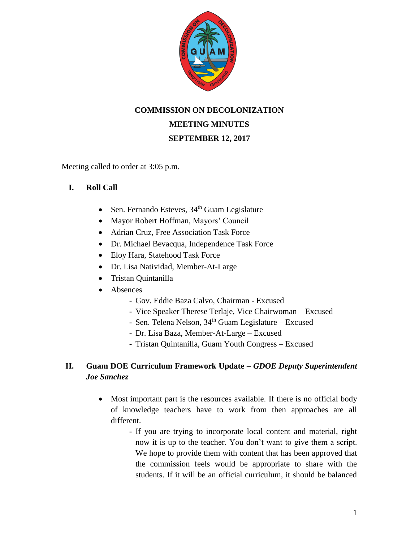

## **COMMISSION ON DECOLONIZATION**

# **MEETING MINUTES**

## **SEPTEMBER 12, 2017**

Meeting called to order at 3:05 p.m.

### **I. Roll Call**

- Sen. Fernando Esteves,  $34<sup>th</sup>$  Guam Legislature
- Mayor Robert Hoffman, Mayors' Council
- Adrian Cruz, Free Association Task Force
- Dr. Michael Bevacqua, Independence Task Force
- Eloy Hara, Statehood Task Force
- Dr. Lisa Natividad, Member-At-Large
- Tristan Quintanilla
- Absences
	- Gov. Eddie Baza Calvo, Chairman Excused
	- Vice Speaker Therese Terlaje, Vice Chairwoman Excused
	- Sen. Telena Nelson,  $34<sup>th</sup>$  Guam Legislature Excused
	- Dr. Lisa Baza, Member-At-Large Excused
	- Tristan Quintanilla, Guam Youth Congress Excused

# **II. Guam DOE Curriculum Framework Update –** *GDOE Deputy Superintendent Joe Sanchez*

- Most important part is the resources available. If there is no official body of knowledge teachers have to work from then approaches are all different.
	- If you are trying to incorporate local content and material, right now it is up to the teacher. You don't want to give them a script. We hope to provide them with content that has been approved that the commission feels would be appropriate to share with the students. If it will be an official curriculum, it should be balanced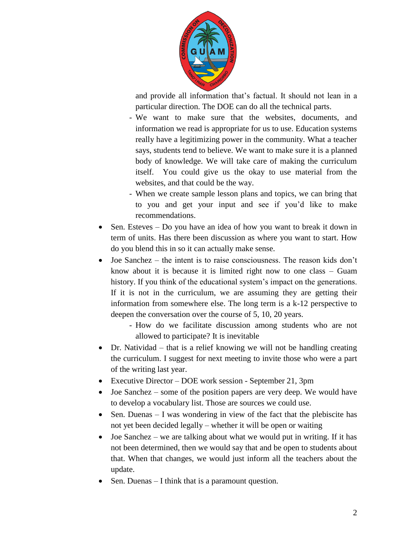

and provide all information that's factual. It should not lean in a particular direction. The DOE can do all the technical parts.

- We want to make sure that the websites, documents, and information we read is appropriate for us to use. Education systems really have a legitimizing power in the community. What a teacher says, students tend to believe. We want to make sure it is a planned body of knowledge. We will take care of making the curriculum itself. You could give us the okay to use material from the websites, and that could be the way.
- When we create sample lesson plans and topics, we can bring that to you and get your input and see if you'd like to make recommendations.
- Sen. Esteves Do you have an idea of how you want to break it down in term of units. Has there been discussion as where you want to start. How do you blend this in so it can actually make sense.
- Joe Sanchez the intent is to raise consciousness. The reason kids don't know about it is because it is limited right now to one class – Guam history. If you think of the educational system's impact on the generations. If it is not in the curriculum, we are assuming they are getting their information from somewhere else. The long term is a k-12 perspective to deepen the conversation over the course of 5, 10, 20 years.
	- How do we facilitate discussion among students who are not allowed to participate? It is inevitable
- Dr. Natividad that is a relief knowing we will not be handling creating the curriculum. I suggest for next meeting to invite those who were a part of the writing last year.
- Executive Director DOE work session September 21, 3pm
- Joe Sanchez some of the position papers are very deep. We would have to develop a vocabulary list. Those are sources we could use.
- Sen. Duenas  $I$  was wondering in view of the fact that the plebiscite has not yet been decided legally – whether it will be open or waiting
- Joe Sanchez we are talking about what we would put in writing. If it has not been determined, then we would say that and be open to students about that. When that changes, we would just inform all the teachers about the update.
- Sen. Duenas I think that is a paramount question.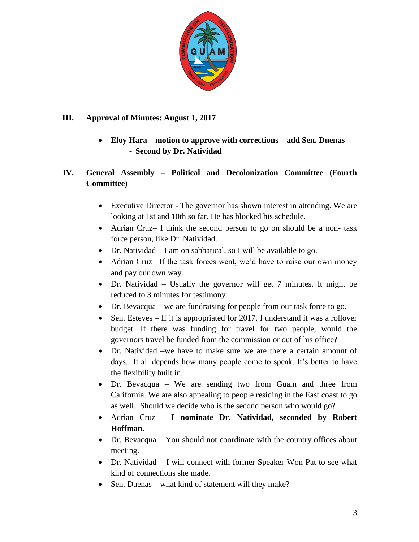

# **III. Approval of Minutes: August 1, 2017**

 **Eloy Hara – motion to approve with corrections – add Sen. Duenas** - **Second by Dr. Natividad**

# **IV. General Assembly – Political and Decolonization Committee (Fourth Committee)**

- Executive Director The governor has shown interest in attending. We are looking at 1st and 10th so far. He has blocked his schedule.
- Adrian Cruz– I think the second person to go on should be a non- task force person, like Dr. Natividad.
- Dr. Natividad I am on sabbatical, so I will be available to go.
- Adrian Cruz– If the task forces went, we'd have to raise our own money and pay our own way.
- Dr. Natividad Usually the governor will get 7 minutes. It might be reduced to 3 minutes for testimony.
- Dr. Bevacqua we are fundraising for people from our task force to go.
- Sen. Esteves If it is appropriated for 2017, I understand it was a rollover budget. If there was funding for travel for two people, would the governors travel be funded from the commission or out of his office?
- Dr. Natividad –we have to make sure we are there a certain amount of days. It all depends how many people come to speak. It's better to have the flexibility built in.
- Dr. Bevacqua We are sending two from Guam and three from California. We are also appealing to people residing in the East coast to go as well. Should we decide who is the second person who would go?
- Adrian Cruz **I nominate Dr. Natividad, seconded by Robert Hoffman.**
- Dr. Bevacqua You should not coordinate with the country offices about meeting.
- Dr. Natividad I will connect with former Speaker Won Pat to see what kind of connections she made.
- Sen. Duenas what kind of statement will they make?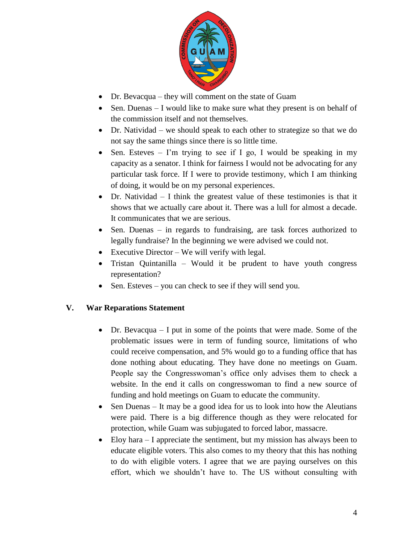

- Dr. Bevacqua they will comment on the state of Guam
- Sen. Duenas I would like to make sure what they present is on behalf of the commission itself and not themselves.
- Dr. Natividad we should speak to each other to strategize so that we do not say the same things since there is so little time.
- Sen. Esteves I'm trying to see if I go, I would be speaking in my capacity as a senator. I think for fairness I would not be advocating for any particular task force. If I were to provide testimony, which I am thinking of doing, it would be on my personal experiences.
- Dr. Natividad  $-1$  think the greatest value of these testimonies is that it shows that we actually care about it. There was a lull for almost a decade. It communicates that we are serious.
- Sen. Duenas in regards to fundraising, are task forces authorized to legally fundraise? In the beginning we were advised we could not.
- Executive Director We will verify with legal.
- Tristan Quintanilla Would it be prudent to have youth congress representation?
- Sen. Esteves you can check to see if they will send you.

### **V. War Reparations Statement**

- $\bullet$  Dr. Bevacqua I put in some of the points that were made. Some of the problematic issues were in term of funding source, limitations of who could receive compensation, and 5% would go to a funding office that has done nothing about educating. They have done no meetings on Guam. People say the Congresswoman's office only advises them to check a website. In the end it calls on congresswoman to find a new source of funding and hold meetings on Guam to educate the community.
- Sen Duenas It may be a good idea for us to look into how the Aleutians were paid. There is a big difference though as they were relocated for protection, while Guam was subjugated to forced labor, massacre.
- Eloy hara I appreciate the sentiment, but my mission has always been to educate eligible voters. This also comes to my theory that this has nothing to do with eligible voters. I agree that we are paying ourselves on this effort, which we shouldn't have to. The US without consulting with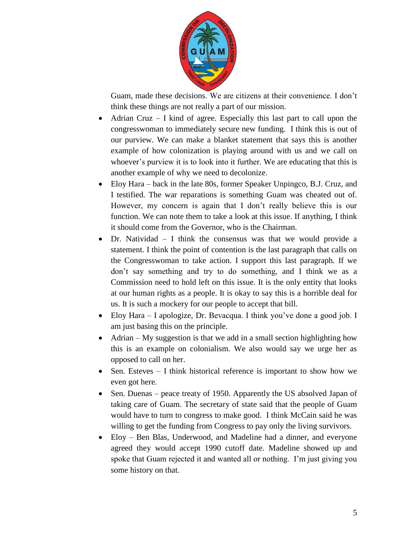

Guam, made these decisions. We are citizens at their convenience. I don't think these things are not really a part of our mission.

- Adrian Cruz  $-$  I kind of agree. Especially this last part to call upon the congresswoman to immediately secure new funding. I think this is out of our purview. We can make a blanket statement that says this is another example of how colonization is playing around with us and we call on whoever's purview it is to look into it further. We are educating that this is another example of why we need to decolonize.
- Eloy Hara back in the late 80s, former Speaker Unpingco, B.J. Cruz, and I testified. The war reparations is something Guam was cheated out of. However, my concern is again that I don't really believe this is our function. We can note them to take a look at this issue. If anything, I think it should come from the Governor, who is the Chairman.
- Dr. Natividad I think the consensus was that we would provide a statement. I think the point of contention is the last paragraph that calls on the Congresswoman to take action. I support this last paragraph. If we don't say something and try to do something, and I think we as a Commission need to hold left on this issue. It is the only entity that looks at our human rights as a people. It is okay to say this is a horrible deal for us. It is such a mockery for our people to accept that bill.
- Eloy Hara I apologize, Dr. Bevacqua. I think you've done a good job. I am just basing this on the principle.
- Adrian My suggestion is that we add in a small section highlighting how this is an example on colonialism. We also would say we urge her as opposed to call on her.
- Sen. Esteves  $-1$  think historical reference is important to show how we even got here.
- Sen. Duenas peace treaty of 1950. Apparently the US absolved Japan of taking care of Guam. The secretary of state said that the people of Guam would have to turn to congress to make good. I think McCain said he was willing to get the funding from Congress to pay only the living survivors.
- Eloy Ben Blas, Underwood, and Madeline had a dinner, and everyone agreed they would accept 1990 cutoff date. Madeline showed up and spoke that Guam rejected it and wanted all or nothing. I'm just giving you some history on that.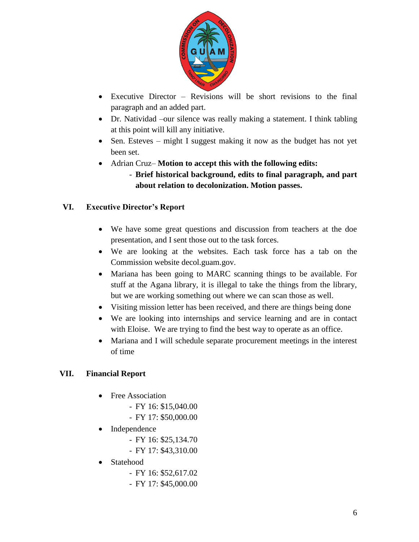

- Executive Director Revisions will be short revisions to the final paragraph and an added part.
- Dr. Natividad –our silence was really making a statement. I think tabling at this point will kill any initiative.
- Sen. Esteves might I suggest making it now as the budget has not yet been set.
- Adrian Cruz– **Motion to accept this with the following edits:**
	- **Brief historical background, edits to final paragraph, and part about relation to decolonization. Motion passes.**

# **VI. Executive Director's Report**

- We have some great questions and discussion from teachers at the doe presentation, and I sent those out to the task forces.
- We are looking at the websites. Each task force has a tab on the Commission website decol.guam.gov.
- Mariana has been going to MARC scanning things to be available. For stuff at the Agana library, it is illegal to take the things from the library, but we are working something out where we can scan those as well.
- Visiting mission letter has been received, and there are things being done
- We are looking into internships and service learning and are in contact with Eloise. We are trying to find the best way to operate as an office.
- Mariana and I will schedule separate procurement meetings in the interest of time

# **VII. Financial Report**

- Free Association
	- FY 16: \$15,040.00
	- FY 17: \$50,000.00
- Independence
	- FY 16: \$25,134.70
	- FY 17: \$43,310.00
- Statehood
	- FY 16: \$52,617.02
	- FY 17: \$45,000.00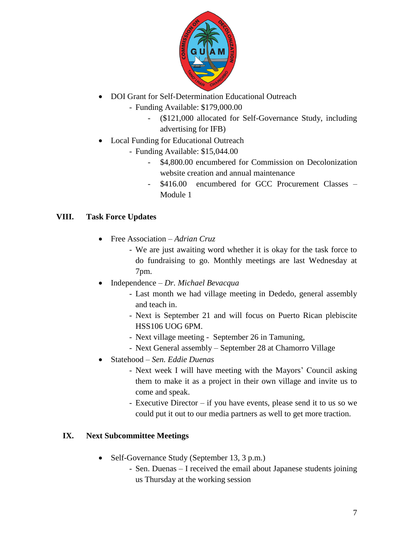

- DOI Grant for Self-Determination Educational Outreach
	- Funding Available: \$179,000.00
		- (\$121,000 allocated for Self-Governance Study, including advertising for IFB)
- Local Funding for Educational Outreach
	- Funding Available: \$15,044.00
		- \$4,800.00 encumbered for Commission on Decolonization website creation and annual maintenance
		- \$416.00 encumbered for GCC Procurement Classes Module 1

# **VIII. Task Force Updates**

- Free Association *Adrian Cruz*
	- We are just awaiting word whether it is okay for the task force to do fundraising to go. Monthly meetings are last Wednesday at 7pm.
- Independence *Dr. Michael Bevacqua*
	- Last month we had village meeting in Dededo, general assembly and teach in.
	- Next is September 21 and will focus on Puerto Rican plebiscite HSS106 UOG 6PM.
	- Next village meeting September 26 in Tamuning,
	- Next General assembly September 28 at Chamorro Village
- Statehood *– Sen. Eddie Duenas*
	- Next week I will have meeting with the Mayors' Council asking them to make it as a project in their own village and invite us to come and speak.
	- Executive Director if you have events, please send it to us so we could put it out to our media partners as well to get more traction.

# **IX. Next Subcommittee Meetings**

- Self-Governance Study (September 13, 3 p.m.)
	- Sen. Duenas I received the email about Japanese students joining us Thursday at the working session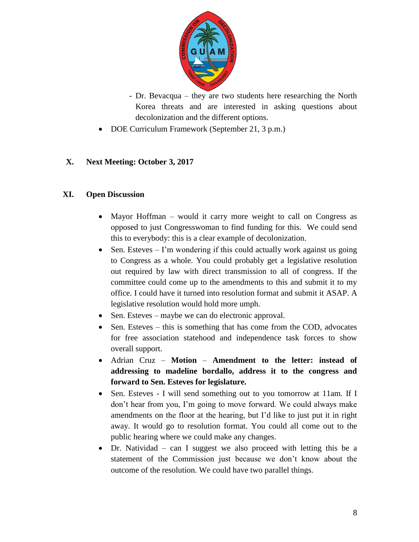

- Dr. Bevacqua they are two students here researching the North Korea threats and are interested in asking questions about decolonization and the different options.
- DOE Curriculum Framework (September 21, 3 p.m.)

## **X. Next Meeting: October 3, 2017**

#### **XI. Open Discussion**

- Mayor Hoffman would it carry more weight to call on Congress as opposed to just Congresswoman to find funding for this. We could send this to everybody: this is a clear example of decolonization.
- Sen. Esteves  $-$  I'm wondering if this could actually work against us going to Congress as a whole. You could probably get a legislative resolution out required by law with direct transmission to all of congress. If the committee could come up to the amendments to this and submit it to my office. I could have it turned into resolution format and submit it ASAP. A legislative resolution would hold more umph.
- Sen. Esteves maybe we can do electronic approval.
- Sen. Esteves this is something that has come from the COD, advocates for free association statehood and independence task forces to show overall support.
- Adrian Cruz **Motion Amendment to the letter: instead of addressing to madeline bordallo, address it to the congress and forward to Sen. Esteves for legislature.**
- Sen. Esteves I will send something out to you tomorrow at 11am. If I don't hear from you, I'm going to move forward. We could always make amendments on the floor at the hearing, but I'd like to just put it in right away. It would go to resolution format. You could all come out to the public hearing where we could make any changes.
- Dr. Natividad can I suggest we also proceed with letting this be a statement of the Commission just because we don't know about the outcome of the resolution. We could have two parallel things.